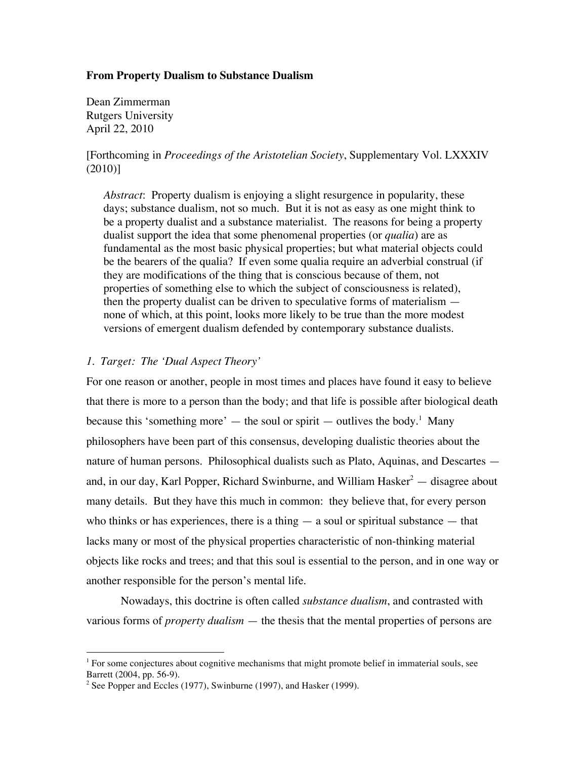## **From Property Dualism to Substance Dualism**

Dean Zimmerman Rutgers University April 22, 2010

# [Forthcoming in *Proceedings of the Aristotelian Society*, Supplementary Vol. LXXXIV (2010)]

*Abstract*: Property dualism is enjoying a slight resurgence in popularity, these days; substance dualism, not so much. But it is not as easy as one might think to be a property dualist and a substance materialist. The reasons for being a property dualist support the idea that some phenomenal properties (or *qualia*) are as fundamental as the most basic physical properties; but what material objects could be the bearers of the qualia? If even some qualia require an adverbial construal (if they are modifications of the thing that is conscious because of them, not properties of something else to which the subject of consciousness is related), then the property dualist can be driven to speculative forms of materialism none of which, at this point, looks more likely to be true than the more modest versions of emergent dualism defended by contemporary substance dualists.

# *1. Target: The 'Dual Aspect Theory'*

For one reason or another, people in most times and places have found it easy to believe that there is more to a person than the body; and that life is possible after biological death because this 'something more'  $-$  the soul or spirit  $-$  outlives the body.<sup>1</sup> Many philosophers have been part of this consensus, developing dualistic theories about the nature of human persons. Philosophical dualists such as Plato, Aquinas, and Descartes and, in our day, Karl Popper, Richard Swinburne, and William Hasker<sup>2</sup> — disagree about many details. But they have this much in common: they believe that, for every person who thinks or has experiences, there is a thing  $-$  a soul or spiritual substance  $-$  that lacks many or most of the physical properties characteristic of non-thinking material objects like rocks and trees; and that this soul is essential to the person, and in one way or another responsible for the person's mental life.

Nowadays, this doctrine is often called *substance dualism*, and contrasted with various forms of *property dualism* — the thesis that the mental properties of persons are

 $1$  For some conjectures about cognitive mechanisms that might promote belief in immaterial souls, see Barrett (2004, pp. 56-9).

 $2$  See Popper and Eccles (1977), Swinburne (1997), and Hasker (1999).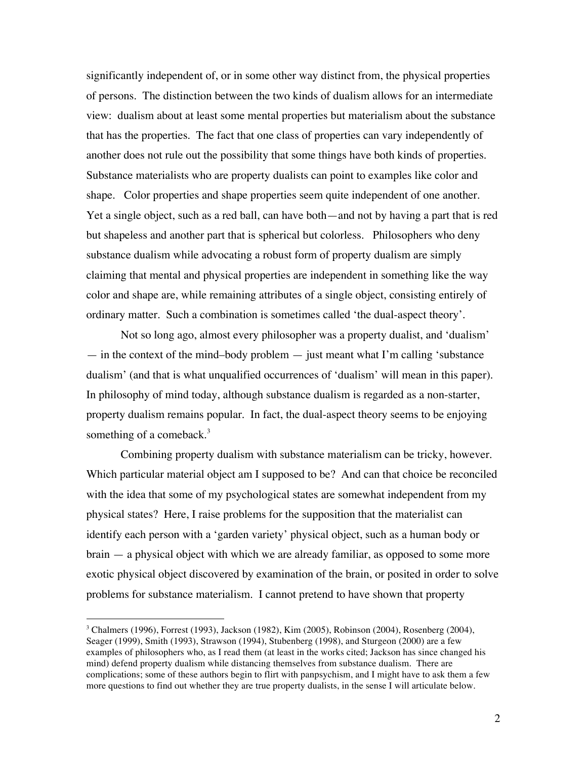significantly independent of, or in some other way distinct from, the physical properties of persons. The distinction between the two kinds of dualism allows for an intermediate view: dualism about at least some mental properties but materialism about the substance that has the properties. The fact that one class of properties can vary independently of another does not rule out the possibility that some things have both kinds of properties. Substance materialists who are property dualists can point to examples like color and shape. Color properties and shape properties seem quite independent of one another. Yet a single object, such as a red ball, can have both—and not by having a part that is red but shapeless and another part that is spherical but colorless. Philosophers who deny substance dualism while advocating a robust form of property dualism are simply claiming that mental and physical properties are independent in something like the way color and shape are, while remaining attributes of a single object, consisting entirely of ordinary matter. Such a combination is sometimes called 'the dual-aspect theory'.

Not so long ago, almost every philosopher was a property dualist, and 'dualism'  $-$  in the context of the mind–body problem  $-$  just meant what I'm calling 'substance dualism' (and that is what unqualified occurrences of 'dualism' will mean in this paper). In philosophy of mind today, although substance dualism is regarded as a non-starter, property dualism remains popular. In fact, the dual-aspect theory seems to be enjoying something of a comeback. $3$ 

Combining property dualism with substance materialism can be tricky, however. Which particular material object am I supposed to be? And can that choice be reconciled with the idea that some of my psychological states are somewhat independent from my physical states? Here, I raise problems for the supposition that the materialist can identify each person with a 'garden variety' physical object, such as a human body or brain — a physical object with which we are already familiar, as opposed to some more exotic physical object discovered by examination of the brain, or posited in order to solve problems for substance materialism. I cannot pretend to have shown that property

 $3$  Chalmers (1996), Forrest (1993), Jackson (1982), Kim (2005), Robinson (2004), Rosenberg (2004), Seager (1999), Smith (1993), Strawson (1994), Stubenberg (1998), and Sturgeon (2000) are a few examples of philosophers who, as I read them (at least in the works cited; Jackson has since changed his mind) defend property dualism while distancing themselves from substance dualism. There are complications; some of these authors begin to flirt with panpsychism, and I might have to ask them a few more questions to find out whether they are true property dualists, in the sense I will articulate below.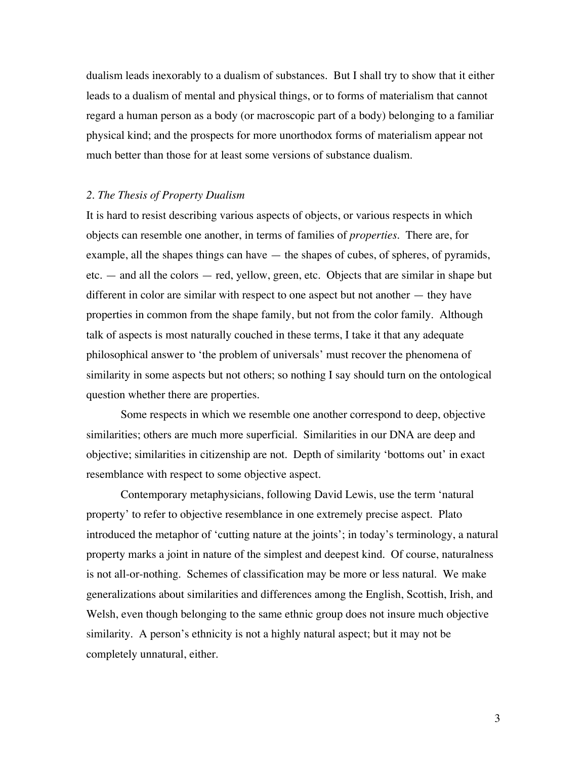dualism leads inexorably to a dualism of substances. But I shall try to show that it either leads to a dualism of mental and physical things, or to forms of materialism that cannot regard a human person as a body (or macroscopic part of a body) belonging to a familiar physical kind; and the prospects for more unorthodox forms of materialism appear not much better than those for at least some versions of substance dualism.

# *2. The Thesis of Property Dualism*

It is hard to resist describing various aspects of objects, or various respects in which objects can resemble one another, in terms of families of *properties*. There are, for example, all the shapes things can have — the shapes of cubes, of spheres, of pyramids, etc. — and all the colors — red, yellow, green, etc. Objects that are similar in shape but different in color are similar with respect to one aspect but not another — they have properties in common from the shape family, but not from the color family. Although talk of aspects is most naturally couched in these terms, I take it that any adequate philosophical answer to 'the problem of universals' must recover the phenomena of similarity in some aspects but not others; so nothing I say should turn on the ontological question whether there are properties.

Some respects in which we resemble one another correspond to deep, objective similarities; others are much more superficial. Similarities in our DNA are deep and objective; similarities in citizenship are not. Depth of similarity 'bottoms out' in exact resemblance with respect to some objective aspect.

Contemporary metaphysicians, following David Lewis, use the term 'natural property' to refer to objective resemblance in one extremely precise aspect. Plato introduced the metaphor of 'cutting nature at the joints'; in today's terminology, a natural property marks a joint in nature of the simplest and deepest kind. Of course, naturalness is not all-or-nothing. Schemes of classification may be more or less natural. We make generalizations about similarities and differences among the English, Scottish, Irish, and Welsh, even though belonging to the same ethnic group does not insure much objective similarity. A person's ethnicity is not a highly natural aspect; but it may not be completely unnatural, either.

3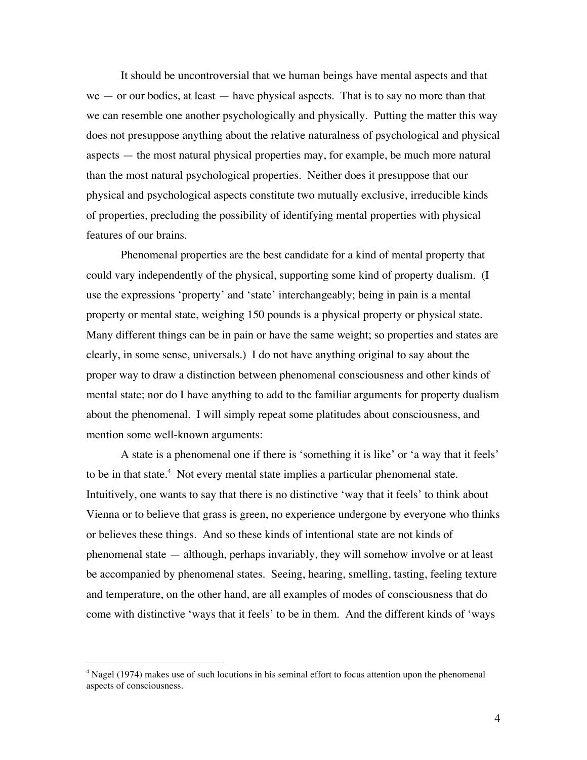It should be uncontroversial that we human beings have mental aspects and that  $we$  — or our bodies, at least — have physical aspects. That is to say no more than that we can resemble one another psychologically and physically. Putting the matter this way does not presuppose anything about the relative naturalness of psychological and physical aspects — the most natural physical properties may, for example, be much more natural than the most natural psychological properties. Neither does it presuppose that our physical and psychological aspects constitute two mutually exclusive, irreducible kinds of properties, precluding the possibility of identifying mental properties with physical features of our brains.

Phenomenal properties are the best candidate for a kind of mental property that could vary independently of the physical, supporting some kind of property dualism. (I use the expressions 'property' and 'state' interchangeably; being in pain is a mental property or mental state, weighing 150 pounds is a physical property or physical state. Many different things can be in pain or have the same weight; so properties and states are clearly, in some sense, universals.) I do not have anything original to say about the proper way to draw a distinction between phenomenal consciousness and other kinds of mental state; nor do I have anything to add to the familiar arguments for property dualism about the phenomenal. I will simply repeat some platitudes about consciousness, and mention some well-known arguments:

A state is a phenomenal one if there is 'something it is like' or 'a way that it feels' to be in that state. $4$  Not every mental state implies a particular phenomenal state. Intuitively, one wants to say that there is no distinctive 'way that it feels' to think about Vienna or to believe that grass is green, no experience undergone by everyone who thinks or believes these things. And so these kinds of intentional state are not kinds of phenomenal state — although, perhaps invariably, they will somehow involve or at least be accompanied by phenomenal states. Seeing, hearing, smelling, tasting, feeling texture and temperature, on the other hand, are all examples of modes of consciousness that do come with distinctive 'ways that it feels' to be in them. And the different kinds of 'ways

 <sup>4</sup> Nagel (1974) makes use of such locutions in his seminal effort to focus attention upon the phenomenal aspects of consciousness.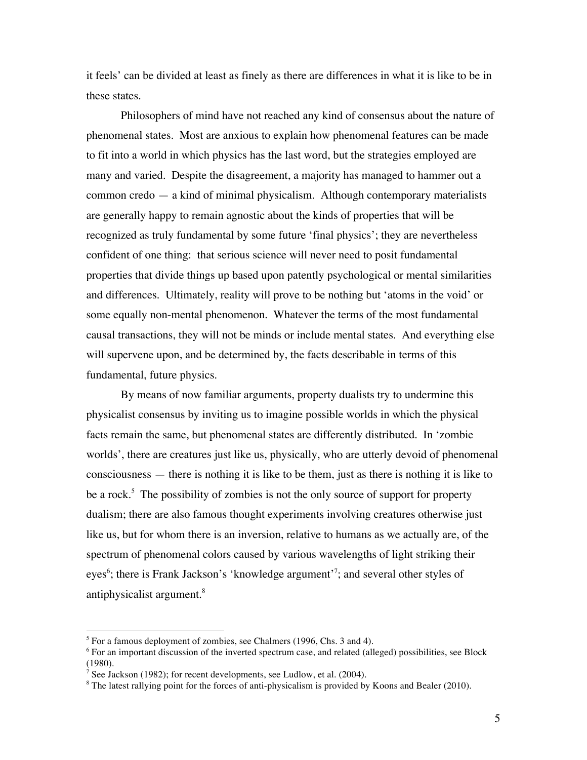it feels' can be divided at least as finely as there are differences in what it is like to be in these states.

Philosophers of mind have not reached any kind of consensus about the nature of phenomenal states. Most are anxious to explain how phenomenal features can be made to fit into a world in which physics has the last word, but the strategies employed are many and varied. Despite the disagreement, a majority has managed to hammer out a common credo — a kind of minimal physicalism. Although contemporary materialists are generally happy to remain agnostic about the kinds of properties that will be recognized as truly fundamental by some future 'final physics'; they are nevertheless confident of one thing: that serious science will never need to posit fundamental properties that divide things up based upon patently psychological or mental similarities and differences. Ultimately, reality will prove to be nothing but 'atoms in the void' or some equally non-mental phenomenon. Whatever the terms of the most fundamental causal transactions, they will not be minds or include mental states. And everything else will supervene upon, and be determined by, the facts describable in terms of this fundamental, future physics.

By means of now familiar arguments, property dualists try to undermine this physicalist consensus by inviting us to imagine possible worlds in which the physical facts remain the same, but phenomenal states are differently distributed. In 'zombie worlds', there are creatures just like us, physically, who are utterly devoid of phenomenal consciousness — there is nothing it is like to be them, just as there is nothing it is like to be a rock.<sup>5</sup> The possibility of zombies is not the only source of support for property dualism; there are also famous thought experiments involving creatures otherwise just like us, but for whom there is an inversion, relative to humans as we actually are, of the spectrum of phenomenal colors caused by various wavelengths of light striking their eyes<sup>6</sup>; there is Frank Jackson's 'knowledge argument'<sup>7</sup>; and several other styles of antiphysicalist argument.<sup>8</sup>

<sup>&</sup>lt;sup>5</sup> For a famous deployment of zombies, see Chalmers (1996, Chs. 3 and 4).

<sup>&</sup>lt;sup>6</sup> For an important discussion of the inverted spectrum case, and related (alleged) possibilities, see Block (1980).

See Jackson (1982); for recent developments, see Ludlow, et al. (2004).

 $8$  The latest rallying point for the forces of anti-physicalism is provided by Koons and Bealer (2010).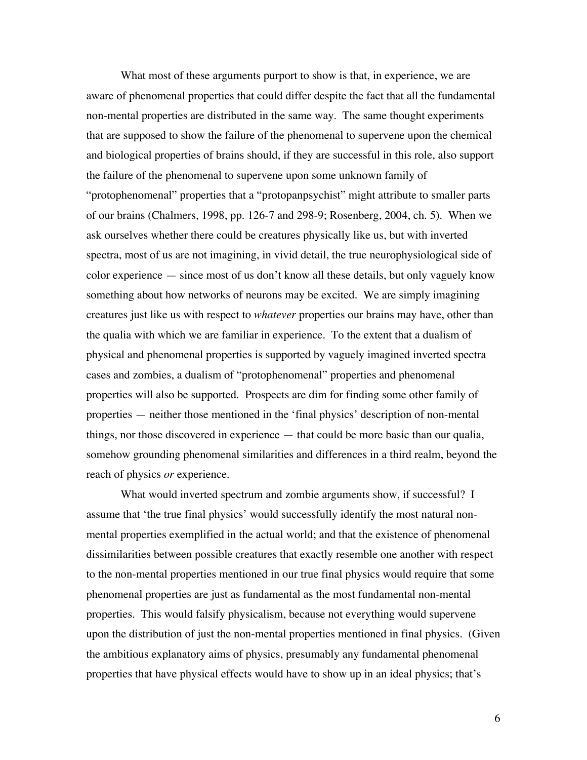What most of these arguments purport to show is that, in experience, we are aware of phenomenal properties that could differ despite the fact that all the fundamental non-mental properties are distributed in the same way. The same thought experiments that are supposed to show the failure of the phenomenal to supervene upon the chemical and biological properties of brains should, if they are successful in this role, also support the failure of the phenomenal to supervene upon some unknown family of "protophenomenal" properties that a "protopanpsychist" might attribute to smaller parts of our brains (Chalmers, 1998, pp. 126-7 and 298-9; Rosenberg, 2004, ch. 5). When we ask ourselves whether there could be creatures physically like us, but with inverted spectra, most of us are not imagining, in vivid detail, the true neurophysiological side of color experience — since most of us don't know all these details, but only vaguely know something about how networks of neurons may be excited. We are simply imagining creatures just like us with respect to *whatever* properties our brains may have, other than the qualia with which we are familiar in experience. To the extent that a dualism of physical and phenomenal properties is supported by vaguely imagined inverted spectra cases and zombies, a dualism of "protophenomenal" properties and phenomenal properties will also be supported. Prospects are dim for finding some other family of properties — neither those mentioned in the 'final physics' description of non-mental things, nor those discovered in experience — that could be more basic than our qualia, somehow grounding phenomenal similarities and differences in a third realm, beyond the reach of physics *or* experience.

What would inverted spectrum and zombie arguments show, if successful? I assume that 'the true final physics' would successfully identify the most natural nonmental properties exemplified in the actual world; and that the existence of phenomenal dissimilarities between possible creatures that exactly resemble one another with respect to the non-mental properties mentioned in our true final physics would require that some phenomenal properties are just as fundamental as the most fundamental non-mental properties. This would falsify physicalism, because not everything would supervene upon the distribution of just the non-mental properties mentioned in final physics. (Given the ambitious explanatory aims of physics, presumably any fundamental phenomenal properties that have physical effects would have to show up in an ideal physics; that's

6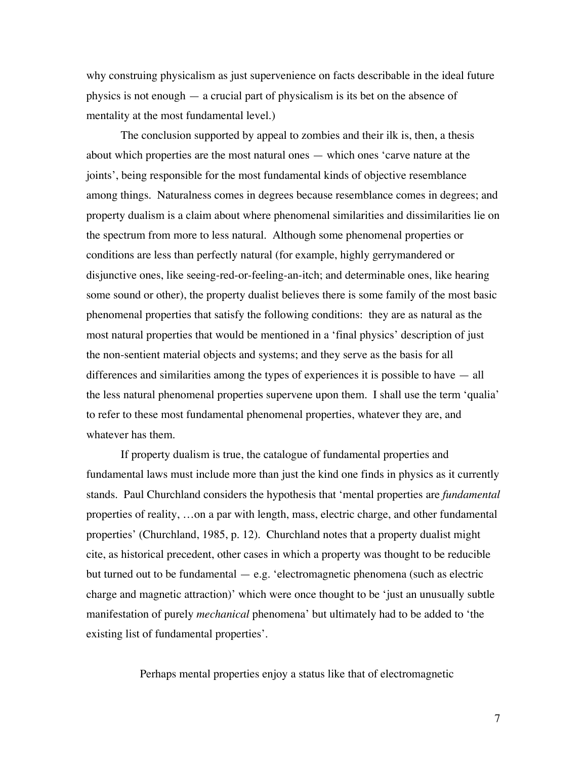why construing physicalism as just supervenience on facts describable in the ideal future physics is not enough — a crucial part of physicalism is its bet on the absence of mentality at the most fundamental level.)

The conclusion supported by appeal to zombies and their ilk is, then, a thesis about which properties are the most natural ones — which ones 'carve nature at the joints', being responsible for the most fundamental kinds of objective resemblance among things. Naturalness comes in degrees because resemblance comes in degrees; and property dualism is a claim about where phenomenal similarities and dissimilarities lie on the spectrum from more to less natural. Although some phenomenal properties or conditions are less than perfectly natural (for example, highly gerrymandered or disjunctive ones, like seeing-red-or-feeling-an-itch; and determinable ones, like hearing some sound or other), the property dualist believes there is some family of the most basic phenomenal properties that satisfy the following conditions: they are as natural as the most natural properties that would be mentioned in a 'final physics' description of just the non-sentient material objects and systems; and they serve as the basis for all differences and similarities among the types of experiences it is possible to have — all the less natural phenomenal properties supervene upon them. I shall use the term 'qualia' to refer to these most fundamental phenomenal properties, whatever they are, and whatever has them.

If property dualism is true, the catalogue of fundamental properties and fundamental laws must include more than just the kind one finds in physics as it currently stands. Paul Churchland considers the hypothesis that 'mental properties are *fundamental* properties of reality, …on a par with length, mass, electric charge, and other fundamental properties' (Churchland, 1985, p. 12). Churchland notes that a property dualist might cite, as historical precedent, other cases in which a property was thought to be reducible but turned out to be fundamental  $-$  e.g. 'electromagnetic phenomena (such as electric charge and magnetic attraction)' which were once thought to be 'just an unusually subtle manifestation of purely *mechanical* phenomena' but ultimately had to be added to 'the existing list of fundamental properties'.

Perhaps mental properties enjoy a status like that of electromagnetic

7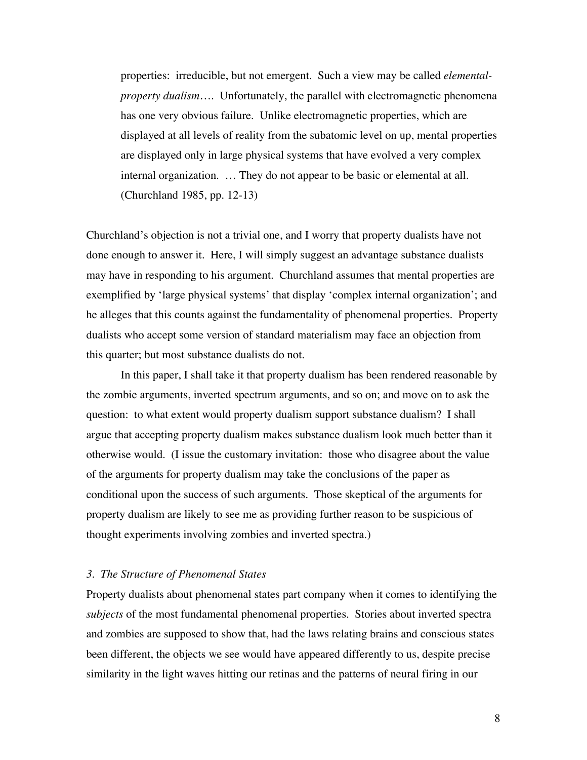properties: irreducible, but not emergent. Such a view may be called *elementalproperty dualism*…. Unfortunately, the parallel with electromagnetic phenomena has one very obvious failure. Unlike electromagnetic properties, which are displayed at all levels of reality from the subatomic level on up, mental properties are displayed only in large physical systems that have evolved a very complex internal organization. … They do not appear to be basic or elemental at all. (Churchland 1985, pp. 12-13)

Churchland's objection is not a trivial one, and I worry that property dualists have not done enough to answer it. Here, I will simply suggest an advantage substance dualists may have in responding to his argument. Churchland assumes that mental properties are exemplified by 'large physical systems' that display 'complex internal organization'; and he alleges that this counts against the fundamentality of phenomenal properties. Property dualists who accept some version of standard materialism may face an objection from this quarter; but most substance dualists do not.

In this paper, I shall take it that property dualism has been rendered reasonable by the zombie arguments, inverted spectrum arguments, and so on; and move on to ask the question: to what extent would property dualism support substance dualism? I shall argue that accepting property dualism makes substance dualism look much better than it otherwise would. (I issue the customary invitation: those who disagree about the value of the arguments for property dualism may take the conclusions of the paper as conditional upon the success of such arguments. Those skeptical of the arguments for property dualism are likely to see me as providing further reason to be suspicious of thought experiments involving zombies and inverted spectra.)

#### *3. The Structure of Phenomenal States*

Property dualists about phenomenal states part company when it comes to identifying the *subjects* of the most fundamental phenomenal properties. Stories about inverted spectra and zombies are supposed to show that, had the laws relating brains and conscious states been different, the objects we see would have appeared differently to us, despite precise similarity in the light waves hitting our retinas and the patterns of neural firing in our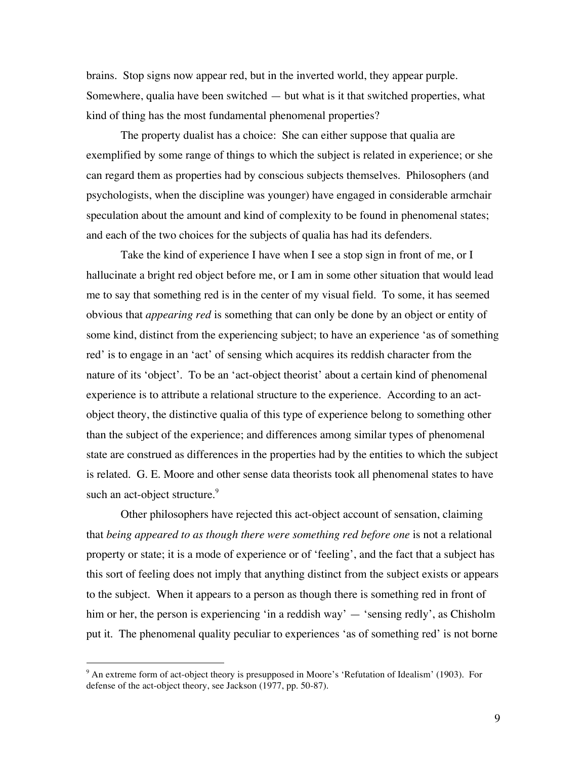brains. Stop signs now appear red, but in the inverted world, they appear purple. Somewhere, qualia have been switched — but what is it that switched properties, what kind of thing has the most fundamental phenomenal properties?

The property dualist has a choice: She can either suppose that qualia are exemplified by some range of things to which the subject is related in experience; or she can regard them as properties had by conscious subjects themselves. Philosophers (and psychologists, when the discipline was younger) have engaged in considerable armchair speculation about the amount and kind of complexity to be found in phenomenal states; and each of the two choices for the subjects of qualia has had its defenders.

Take the kind of experience I have when I see a stop sign in front of me, or I hallucinate a bright red object before me, or I am in some other situation that would lead me to say that something red is in the center of my visual field. To some, it has seemed obvious that *appearing red* is something that can only be done by an object or entity of some kind, distinct from the experiencing subject; to have an experience 'as of something red' is to engage in an 'act' of sensing which acquires its reddish character from the nature of its 'object'. To be an 'act-object theorist' about a certain kind of phenomenal experience is to attribute a relational structure to the experience. According to an actobject theory, the distinctive qualia of this type of experience belong to something other than the subject of the experience; and differences among similar types of phenomenal state are construed as differences in the properties had by the entities to which the subject is related. G. E. Moore and other sense data theorists took all phenomenal states to have such an act-object structure.<sup>9</sup>

Other philosophers have rejected this act-object account of sensation, claiming that *being appeared to as though there were something red before one* is not a relational property or state; it is a mode of experience or of 'feeling', and the fact that a subject has this sort of feeling does not imply that anything distinct from the subject exists or appears to the subject. When it appears to a person as though there is something red in front of him or her, the person is experiencing 'in a reddish way' — 'sensing redly', as Chisholm put it. The phenomenal quality peculiar to experiences 'as of something red' is not borne

<sup>&</sup>lt;sup>9</sup> An extreme form of act-object theory is presupposed in Moore's 'Refutation of Idealism' (1903). For defense of the act-object theory, see Jackson (1977, pp. 50-87).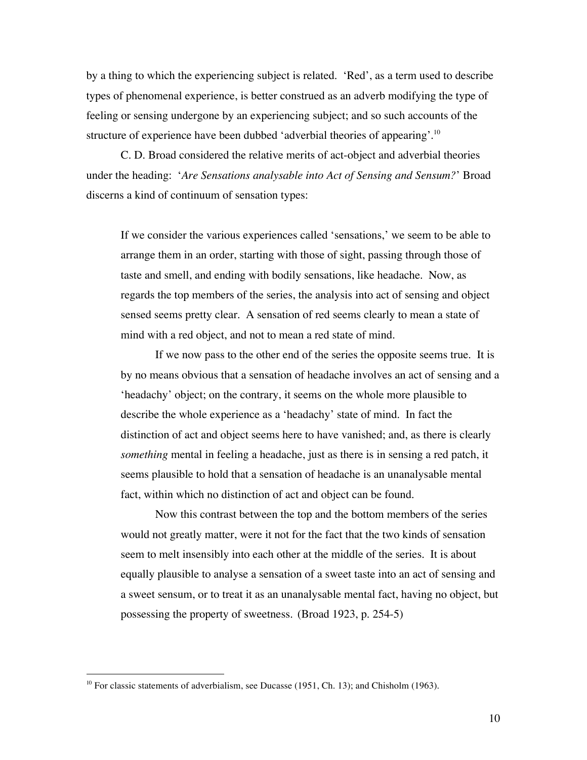by a thing to which the experiencing subject is related. 'Red', as a term used to describe types of phenomenal experience, is better construed as an adverb modifying the type of feeling or sensing undergone by an experiencing subject; and so such accounts of the structure of experience have been dubbed 'adverbial theories of appearing'.<sup>10</sup>

C. D. Broad considered the relative merits of act-object and adverbial theories under the heading: '*Are Sensations analysable into Act of Sensing and Sensum?*' Broad discerns a kind of continuum of sensation types:

If we consider the various experiences called 'sensations,' we seem to be able to arrange them in an order, starting with those of sight, passing through those of taste and smell, and ending with bodily sensations, like headache. Now, as regards the top members of the series, the analysis into act of sensing and object sensed seems pretty clear. A sensation of red seems clearly to mean a state of mind with a red object, and not to mean a red state of mind.

If we now pass to the other end of the series the opposite seems true. It is by no means obvious that a sensation of headache involves an act of sensing and a 'headachy' object; on the contrary, it seems on the whole more plausible to describe the whole experience as a 'headachy' state of mind. In fact the distinction of act and object seems here to have vanished; and, as there is clearly *something* mental in feeling a headache, just as there is in sensing a red patch, it seems plausible to hold that a sensation of headache is an unanalysable mental fact, within which no distinction of act and object can be found.

Now this contrast between the top and the bottom members of the series would not greatly matter, were it not for the fact that the two kinds of sensation seem to melt insensibly into each other at the middle of the series. It is about equally plausible to analyse a sensation of a sweet taste into an act of sensing and a sweet sensum, or to treat it as an unanalysable mental fact, having no object, but possessing the property of sweetness. (Broad 1923, p. 254-5)

<sup>&</sup>lt;sup>10</sup> For classic statements of adverbialism, see Ducasse (1951, Ch. 13); and Chisholm (1963).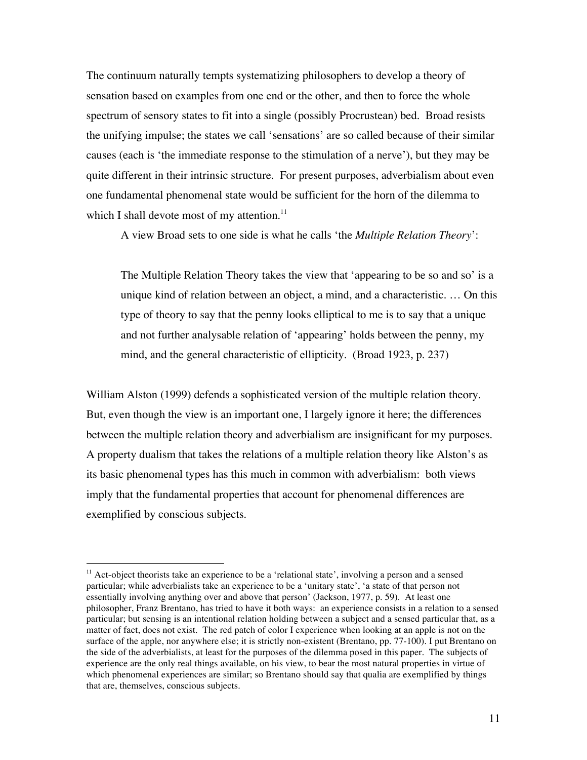The continuum naturally tempts systematizing philosophers to develop a theory of sensation based on examples from one end or the other, and then to force the whole spectrum of sensory states to fit into a single (possibly Procrustean) bed. Broad resists the unifying impulse; the states we call 'sensations' are so called because of their similar causes (each is 'the immediate response to the stimulation of a nerve'), but they may be quite different in their intrinsic structure. For present purposes, adverbialism about even one fundamental phenomenal state would be sufficient for the horn of the dilemma to which I shall devote most of my attention. $11$ 

A view Broad sets to one side is what he calls 'the *Multiple Relation Theory*':

The Multiple Relation Theory takes the view that 'appearing to be so and so' is a unique kind of relation between an object, a mind, and a characteristic. … On this type of theory to say that the penny looks elliptical to me is to say that a unique and not further analysable relation of 'appearing' holds between the penny, my mind, and the general characteristic of ellipticity. (Broad 1923, p. 237)

William Alston (1999) defends a sophisticated version of the multiple relation theory. But, even though the view is an important one, I largely ignore it here; the differences between the multiple relation theory and adverbialism are insignificant for my purposes. A property dualism that takes the relations of a multiple relation theory like Alston's as its basic phenomenal types has this much in common with adverbialism: both views imply that the fundamental properties that account for phenomenal differences are exemplified by conscious subjects.

 $<sup>11</sup>$  Act-object theorists take an experience to be a 'relational state', involving a person and a sensed</sup> particular; while adverbialists take an experience to be a 'unitary state', 'a state of that person not essentially involving anything over and above that person' (Jackson, 1977, p. 59). At least one philosopher, Franz Brentano, has tried to have it both ways: an experience consists in a relation to a sensed particular; but sensing is an intentional relation holding between a subject and a sensed particular that, as a matter of fact, does not exist. The red patch of color I experience when looking at an apple is not on the surface of the apple, nor anywhere else; it is strictly non-existent (Brentano, pp. 77-100). I put Brentano on the side of the adverbialists, at least for the purposes of the dilemma posed in this paper. The subjects of experience are the only real things available, on his view, to bear the most natural properties in virtue of which phenomenal experiences are similar; so Brentano should say that qualia are exemplified by things that are, themselves, conscious subjects.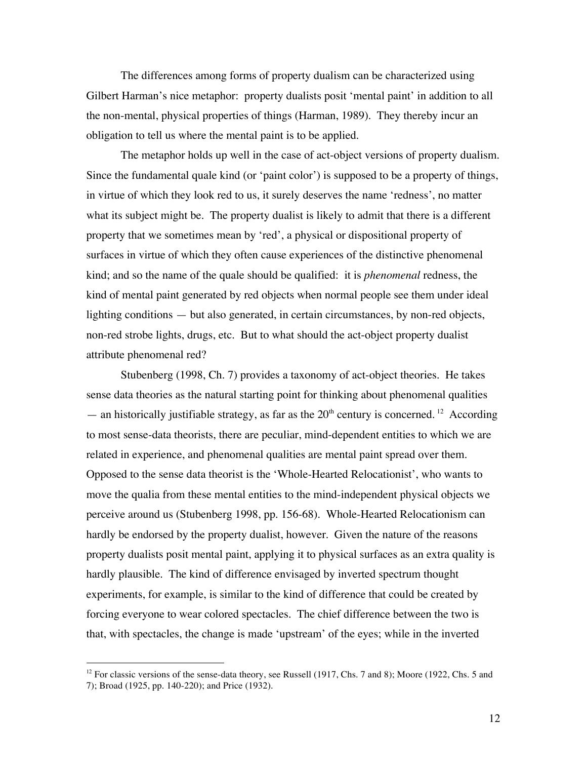The differences among forms of property dualism can be characterized using Gilbert Harman's nice metaphor: property dualists posit 'mental paint' in addition to all the non-mental, physical properties of things (Harman, 1989). They thereby incur an obligation to tell us where the mental paint is to be applied.

The metaphor holds up well in the case of act-object versions of property dualism. Since the fundamental quale kind (or 'paint color') is supposed to be a property of things, in virtue of which they look red to us, it surely deserves the name 'redness', no matter what its subject might be. The property dualist is likely to admit that there is a different property that we sometimes mean by 'red', a physical or dispositional property of surfaces in virtue of which they often cause experiences of the distinctive phenomenal kind; and so the name of the quale should be qualified: it is *phenomenal* redness, the kind of mental paint generated by red objects when normal people see them under ideal lighting conditions — but also generated, in certain circumstances, by non-red objects, non-red strobe lights, drugs, etc. But to what should the act-object property dualist attribute phenomenal red?

Stubenberg (1998, Ch. 7) provides a taxonomy of act-object theories. He takes sense data theories as the natural starting point for thinking about phenomenal qualities — an historically justifiable strategy, as far as the  $20<sup>th</sup>$  century is concerned.<sup>12</sup> According to most sense-data theorists, there are peculiar, mind-dependent entities to which we are related in experience, and phenomenal qualities are mental paint spread over them. Opposed to the sense data theorist is the 'Whole-Hearted Relocationist', who wants to move the qualia from these mental entities to the mind-independent physical objects we perceive around us (Stubenberg 1998, pp. 156-68). Whole-Hearted Relocationism can hardly be endorsed by the property dualist, however. Given the nature of the reasons property dualists posit mental paint, applying it to physical surfaces as an extra quality is hardly plausible. The kind of difference envisaged by inverted spectrum thought experiments, for example, is similar to the kind of difference that could be created by forcing everyone to wear colored spectacles. The chief difference between the two is that, with spectacles, the change is made 'upstream' of the eyes; while in the inverted

<sup>&</sup>lt;sup>12</sup> For classic versions of the sense-data theory, see Russell (1917, Chs. 7 and 8); Moore (1922, Chs. 5 and 7); Broad (1925, pp. 140-220); and Price (1932).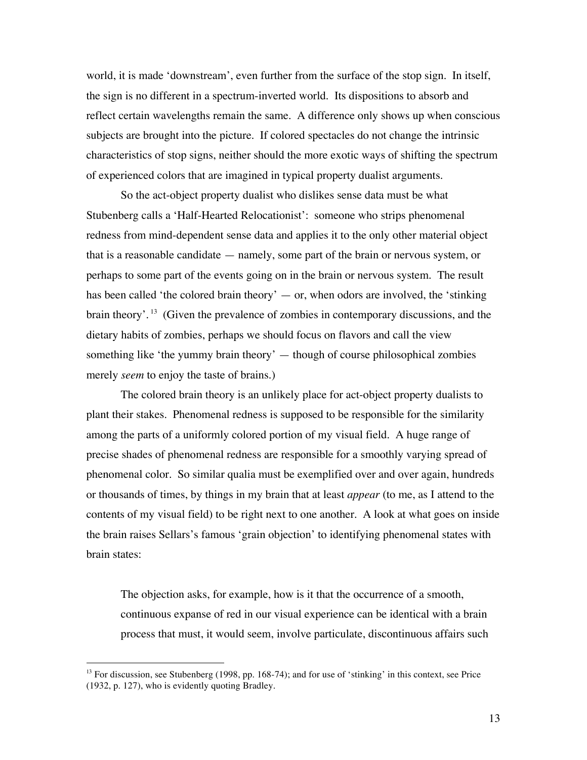world, it is made 'downstream', even further from the surface of the stop sign. In itself, the sign is no different in a spectrum-inverted world. Its dispositions to absorb and reflect certain wavelengths remain the same. A difference only shows up when conscious subjects are brought into the picture. If colored spectacles do not change the intrinsic characteristics of stop signs, neither should the more exotic ways of shifting the spectrum of experienced colors that are imagined in typical property dualist arguments.

So the act-object property dualist who dislikes sense data must be what Stubenberg calls a 'Half-Hearted Relocationist': someone who strips phenomenal redness from mind-dependent sense data and applies it to the only other material object that is a reasonable candidate — namely, some part of the brain or nervous system, or perhaps to some part of the events going on in the brain or nervous system. The result has been called 'the colored brain theory' — or, when odors are involved, the 'stinking brain theory'.<sup>13</sup> (Given the prevalence of zombies in contemporary discussions, and the dietary habits of zombies, perhaps we should focus on flavors and call the view something like 'the yummy brain theory' — though of course philosophical zombies merely *seem* to enjoy the taste of brains.)

The colored brain theory is an unlikely place for act-object property dualists to plant their stakes. Phenomenal redness is supposed to be responsible for the similarity among the parts of a uniformly colored portion of my visual field. A huge range of precise shades of phenomenal redness are responsible for a smoothly varying spread of phenomenal color. So similar qualia must be exemplified over and over again, hundreds or thousands of times, by things in my brain that at least *appear* (to me, as I attend to the contents of my visual field) to be right next to one another. A look at what goes on inside the brain raises Sellars's famous 'grain objection' to identifying phenomenal states with brain states:

The objection asks, for example, how is it that the occurrence of a smooth, continuous expanse of red in our visual experience can be identical with a brain process that must, it would seem, involve particulate, discontinuous affairs such

<sup>&</sup>lt;sup>13</sup> For discussion, see Stubenberg (1998, pp. 168-74); and for use of 'stinking' in this context, see Price (1932, p. 127), who is evidently quoting Bradley.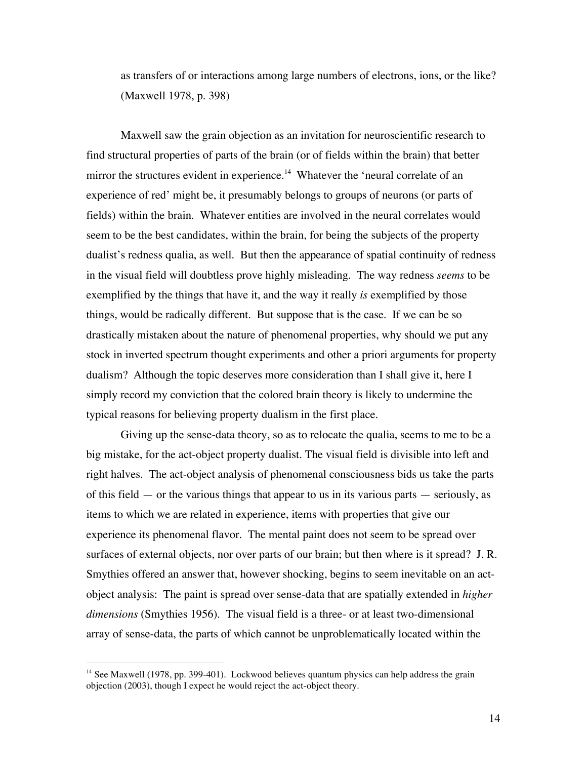as transfers of or interactions among large numbers of electrons, ions, or the like? (Maxwell 1978, p. 398)

Maxwell saw the grain objection as an invitation for neuroscientific research to find structural properties of parts of the brain (or of fields within the brain) that better mirror the structures evident in experience.<sup>14</sup> Whatever the 'neural correlate of an experience of red' might be, it presumably belongs to groups of neurons (or parts of fields) within the brain. Whatever entities are involved in the neural correlates would seem to be the best candidates, within the brain, for being the subjects of the property dualist's redness qualia, as well. But then the appearance of spatial continuity of redness in the visual field will doubtless prove highly misleading. The way redness *seems* to be exemplified by the things that have it, and the way it really *is* exemplified by those things, would be radically different. But suppose that is the case. If we can be so drastically mistaken about the nature of phenomenal properties, why should we put any stock in inverted spectrum thought experiments and other a priori arguments for property dualism? Although the topic deserves more consideration than I shall give it, here I simply record my conviction that the colored brain theory is likely to undermine the typical reasons for believing property dualism in the first place.

Giving up the sense-data theory, so as to relocate the qualia, seems to me to be a big mistake, for the act-object property dualist. The visual field is divisible into left and right halves. The act-object analysis of phenomenal consciousness bids us take the parts of this field — or the various things that appear to us in its various parts — seriously, as items to which we are related in experience, items with properties that give our experience its phenomenal flavor. The mental paint does not seem to be spread over surfaces of external objects, nor over parts of our brain; but then where is it spread? J. R. Smythies offered an answer that, however shocking, begins to seem inevitable on an actobject analysis: The paint is spread over sense-data that are spatially extended in *higher dimensions* (Smythies 1956). The visual field is a three- or at least two-dimensional array of sense-data, the parts of which cannot be unproblematically located within the

<sup>&</sup>lt;sup>14</sup> See Maxwell (1978, pp. 399-401). Lockwood believes quantum physics can help address the grain objection (2003), though I expect he would reject the act-object theory.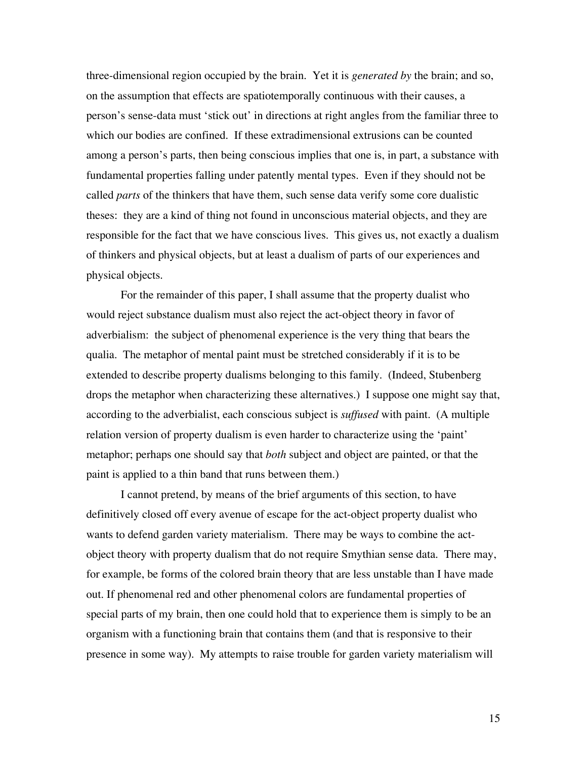three-dimensional region occupied by the brain. Yet it is *generated by* the brain; and so, on the assumption that effects are spatiotemporally continuous with their causes, a person's sense-data must 'stick out' in directions at right angles from the familiar three to which our bodies are confined. If these extradimensional extrusions can be counted among a person's parts, then being conscious implies that one is, in part, a substance with fundamental properties falling under patently mental types. Even if they should not be called *parts* of the thinkers that have them, such sense data verify some core dualistic theses: they are a kind of thing not found in unconscious material objects, and they are responsible for the fact that we have conscious lives. This gives us, not exactly a dualism of thinkers and physical objects, but at least a dualism of parts of our experiences and physical objects.

For the remainder of this paper, I shall assume that the property dualist who would reject substance dualism must also reject the act-object theory in favor of adverbialism: the subject of phenomenal experience is the very thing that bears the qualia. The metaphor of mental paint must be stretched considerably if it is to be extended to describe property dualisms belonging to this family. (Indeed, Stubenberg drops the metaphor when characterizing these alternatives.) I suppose one might say that, according to the adverbialist, each conscious subject is *suffused* with paint. (A multiple relation version of property dualism is even harder to characterize using the 'paint' metaphor; perhaps one should say that *both* subject and object are painted, or that the paint is applied to a thin band that runs between them.)

I cannot pretend, by means of the brief arguments of this section, to have definitively closed off every avenue of escape for the act-object property dualist who wants to defend garden variety materialism. There may be ways to combine the actobject theory with property dualism that do not require Smythian sense data. There may, for example, be forms of the colored brain theory that are less unstable than I have made out. If phenomenal red and other phenomenal colors are fundamental properties of special parts of my brain, then one could hold that to experience them is simply to be an organism with a functioning brain that contains them (and that is responsive to their presence in some way). My attempts to raise trouble for garden variety materialism will

15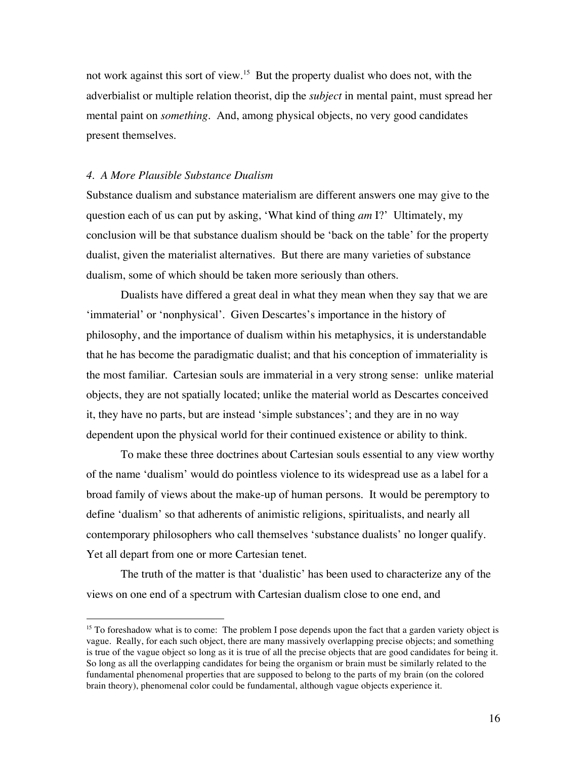not work against this sort of view.<sup>15</sup> But the property dualist who does not, with the adverbialist or multiple relation theorist, dip the *subject* in mental paint, must spread her mental paint on *something*. And, among physical objects, no very good candidates present themselves.

### *4. A More Plausible Substance Dualism*

Substance dualism and substance materialism are different answers one may give to the question each of us can put by asking, 'What kind of thing *am* I?' Ultimately, my conclusion will be that substance dualism should be 'back on the table' for the property dualist, given the materialist alternatives. But there are many varieties of substance dualism, some of which should be taken more seriously than others.

Dualists have differed a great deal in what they mean when they say that we are 'immaterial' or 'nonphysical'. Given Descartes's importance in the history of philosophy, and the importance of dualism within his metaphysics, it is understandable that he has become the paradigmatic dualist; and that his conception of immateriality is the most familiar. Cartesian souls are immaterial in a very strong sense: unlike material objects, they are not spatially located; unlike the material world as Descartes conceived it, they have no parts, but are instead 'simple substances'; and they are in no way dependent upon the physical world for their continued existence or ability to think.

To make these three doctrines about Cartesian souls essential to any view worthy of the name 'dualism' would do pointless violence to its widespread use as a label for a broad family of views about the make-up of human persons. It would be peremptory to define 'dualism' so that adherents of animistic religions, spiritualists, and nearly all contemporary philosophers who call themselves 'substance dualists' no longer qualify. Yet all depart from one or more Cartesian tenet.

The truth of the matter is that 'dualistic' has been used to characterize any of the views on one end of a spectrum with Cartesian dualism close to one end, and

<sup>&</sup>lt;sup>15</sup> To foreshadow what is to come: The problem I pose depends upon the fact that a garden variety object is vague. Really, for each such object, there are many massively overlapping precise objects; and something is true of the vague object so long as it is true of all the precise objects that are good candidates for being it. So long as all the overlapping candidates for being the organism or brain must be similarly related to the fundamental phenomenal properties that are supposed to belong to the parts of my brain (on the colored brain theory), phenomenal color could be fundamental, although vague objects experience it.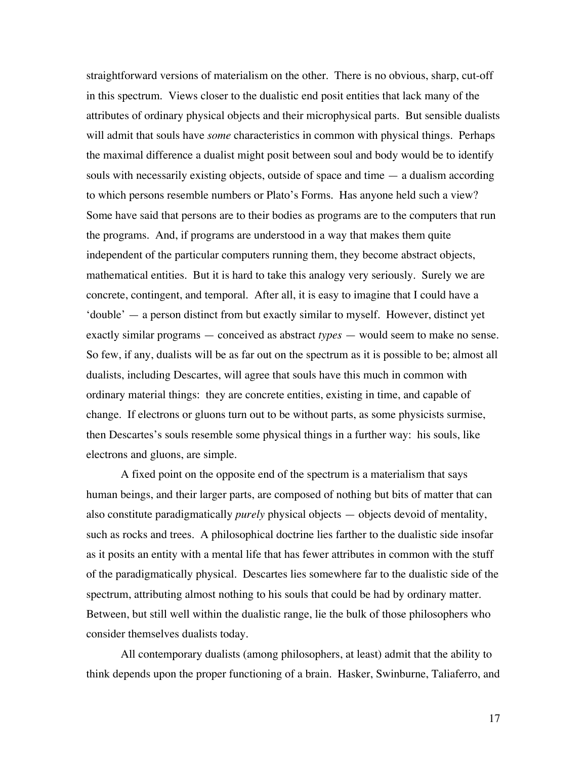straightforward versions of materialism on the other. There is no obvious, sharp, cut-off in this spectrum. Views closer to the dualistic end posit entities that lack many of the attributes of ordinary physical objects and their microphysical parts. But sensible dualists will admit that souls have *some* characteristics in common with physical things. Perhaps the maximal difference a dualist might posit between soul and body would be to identify souls with necessarily existing objects, outside of space and time — a dualism according to which persons resemble numbers or Plato's Forms. Has anyone held such a view? Some have said that persons are to their bodies as programs are to the computers that run the programs. And, if programs are understood in a way that makes them quite independent of the particular computers running them, they become abstract objects, mathematical entities. But it is hard to take this analogy very seriously. Surely we are concrete, contingent, and temporal. After all, it is easy to imagine that I could have a 'double' — a person distinct from but exactly similar to myself. However, distinct yet exactly similar programs — conceived as abstract *types* — would seem to make no sense. So few, if any, dualists will be as far out on the spectrum as it is possible to be; almost all dualists, including Descartes, will agree that souls have this much in common with ordinary material things: they are concrete entities, existing in time, and capable of change. If electrons or gluons turn out to be without parts, as some physicists surmise, then Descartes's souls resemble some physical things in a further way: his souls, like electrons and gluons, are simple.

A fixed point on the opposite end of the spectrum is a materialism that says human beings, and their larger parts, are composed of nothing but bits of matter that can also constitute paradigmatically *purely* physical objects — objects devoid of mentality, such as rocks and trees. A philosophical doctrine lies farther to the dualistic side insofar as it posits an entity with a mental life that has fewer attributes in common with the stuff of the paradigmatically physical. Descartes lies somewhere far to the dualistic side of the spectrum, attributing almost nothing to his souls that could be had by ordinary matter. Between, but still well within the dualistic range, lie the bulk of those philosophers who consider themselves dualists today.

All contemporary dualists (among philosophers, at least) admit that the ability to think depends upon the proper functioning of a brain. Hasker, Swinburne, Taliaferro, and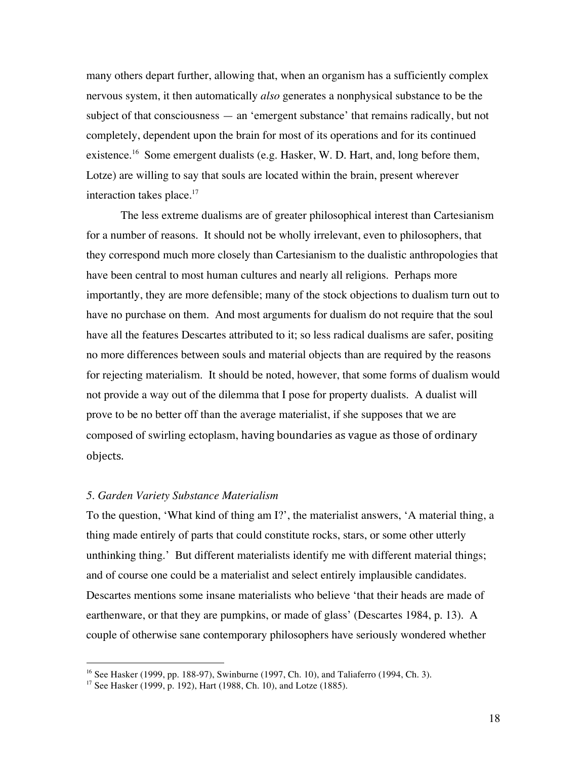many others depart further, allowing that, when an organism has a sufficiently complex nervous system, it then automatically *also* generates a nonphysical substance to be the subject of that consciousness — an 'emergent substance' that remains radically, but not completely, dependent upon the brain for most of its operations and for its continued existence.<sup>16</sup> Some emergent dualists (e.g. Hasker, W. D. Hart, and, long before them, Lotze) are willing to say that souls are located within the brain, present wherever interaction takes place. $17$ 

The less extreme dualisms are of greater philosophical interest than Cartesianism for a number of reasons. It should not be wholly irrelevant, even to philosophers, that they correspond much more closely than Cartesianism to the dualistic anthropologies that have been central to most human cultures and nearly all religions. Perhaps more importantly, they are more defensible; many of the stock objections to dualism turn out to have no purchase on them. And most arguments for dualism do not require that the soul have all the features Descartes attributed to it; so less radical dualisms are safer, positing no more differences between souls and material objects than are required by the reasons for rejecting materialism. It should be noted, however, that some forms of dualism would not provide a way out of the dilemma that I pose for property dualists. A dualist will prove to be no better off than the average materialist, if she supposes that we are composed of swirling ectoplasm, having
boundaries
as
vague
as
those
of
ordinary objects.

# *5. Garden Variety Substance Materialism*

To the question, 'What kind of thing am I?', the materialist answers, 'A material thing, a thing made entirely of parts that could constitute rocks, stars, or some other utterly unthinking thing.' But different materialists identify me with different material things; and of course one could be a materialist and select entirely implausible candidates. Descartes mentions some insane materialists who believe 'that their heads are made of earthenware, or that they are pumpkins, or made of glass' (Descartes 1984, p. 13). A couple of otherwise sane contemporary philosophers have seriously wondered whether

 <sup>16</sup> See Hasker (1999, pp. 188-97), Swinburne (1997, Ch. 10), and Taliaferro (1994, Ch. 3).

<sup>17</sup> See Hasker (1999, p. 192), Hart (1988, Ch. 10), and Lotze (1885).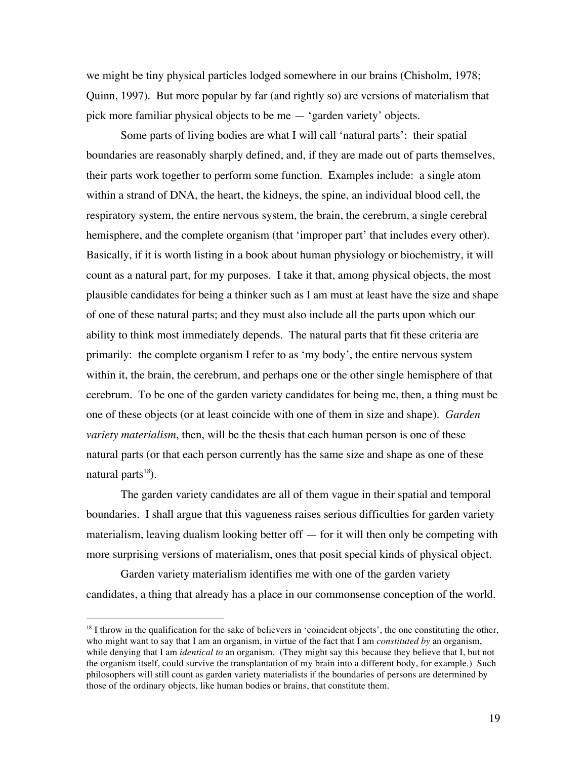we might be tiny physical particles lodged somewhere in our brains (Chisholm, 1978; Quinn, 1997). But more popular by far (and rightly so) are versions of materialism that pick more familiar physical objects to be me — 'garden variety' objects.

Some parts of living bodies are what I will call 'natural parts': their spatial boundaries are reasonably sharply defined, and, if they are made out of parts themselves, their parts work together to perform some function. Examples include: a single atom within a strand of DNA, the heart, the kidneys, the spine, an individual blood cell, the respiratory system, the entire nervous system, the brain, the cerebrum, a single cerebral hemisphere, and the complete organism (that 'improper part' that includes every other). Basically, if it is worth listing in a book about human physiology or biochemistry, it will count as a natural part, for my purposes. I take it that, among physical objects, the most plausible candidates for being a thinker such as I am must at least have the size and shape of one of these natural parts; and they must also include all the parts upon which our ability to think most immediately depends. The natural parts that fit these criteria are primarily: the complete organism I refer to as 'my body', the entire nervous system within it, the brain, the cerebrum, and perhaps one or the other single hemisphere of that cerebrum. To be one of the garden variety candidates for being me, then, a thing must be one of these objects (or at least coincide with one of them in size and shape). *Garden variety materialism*, then, will be the thesis that each human person is one of these natural parts (or that each person currently has the same size and shape as one of these natural parts<sup>18</sup>).

The garden variety candidates are all of them vague in their spatial and temporal boundaries. I shall argue that this vagueness raises serious difficulties for garden variety materialism, leaving dualism looking better of  $f$  — for it will then only be competing with more surprising versions of materialism, ones that posit special kinds of physical object.

Garden variety materialism identifies me with one of the garden variety candidates, a thing that already has a place in our commonsense conception of the world.

 $18$  I throw in the qualification for the sake of believers in 'coincident objects', the one constituting the other, who might want to say that I am an organism, in virtue of the fact that I am *constituted by* an organism, while denying that I am *identical to* an organism. (They might say this because they believe that I, but not the organism itself, could survive the transplantation of my brain into a different body, for example.) Such philosophers will still count as garden variety materialists if the boundaries of persons are determined by those of the ordinary objects, like human bodies or brains, that constitute them.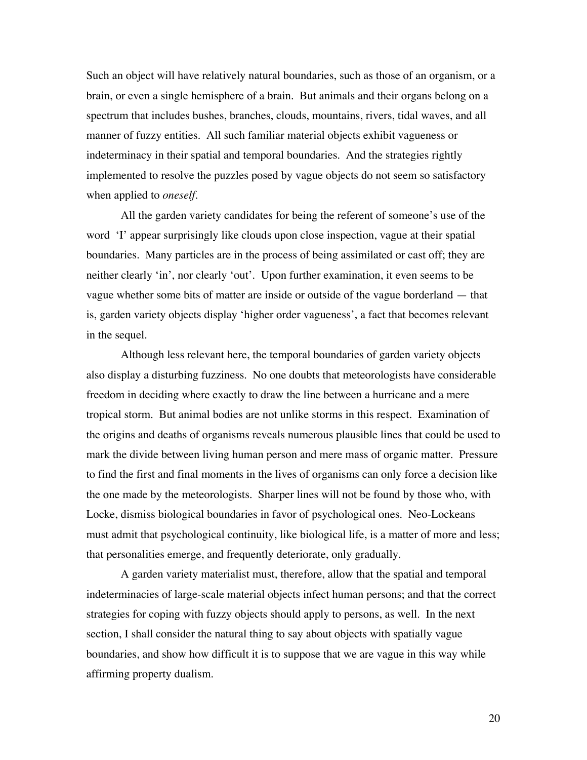Such an object will have relatively natural boundaries, such as those of an organism, or a brain, or even a single hemisphere of a brain. But animals and their organs belong on a spectrum that includes bushes, branches, clouds, mountains, rivers, tidal waves, and all manner of fuzzy entities. All such familiar material objects exhibit vagueness or indeterminacy in their spatial and temporal boundaries. And the strategies rightly implemented to resolve the puzzles posed by vague objects do not seem so satisfactory when applied to *oneself*.

All the garden variety candidates for being the referent of someone's use of the word 'I' appear surprisingly like clouds upon close inspection, vague at their spatial boundaries. Many particles are in the process of being assimilated or cast off; they are neither clearly 'in', nor clearly 'out'. Upon further examination, it even seems to be vague whether some bits of matter are inside or outside of the vague borderland — that is, garden variety objects display 'higher order vagueness', a fact that becomes relevant in the sequel.

Although less relevant here, the temporal boundaries of garden variety objects also display a disturbing fuzziness. No one doubts that meteorologists have considerable freedom in deciding where exactly to draw the line between a hurricane and a mere tropical storm. But animal bodies are not unlike storms in this respect. Examination of the origins and deaths of organisms reveals numerous plausible lines that could be used to mark the divide between living human person and mere mass of organic matter. Pressure to find the first and final moments in the lives of organisms can only force a decision like the one made by the meteorologists. Sharper lines will not be found by those who, with Locke, dismiss biological boundaries in favor of psychological ones. Neo-Lockeans must admit that psychological continuity, like biological life, is a matter of more and less; that personalities emerge, and frequently deteriorate, only gradually.

A garden variety materialist must, therefore, allow that the spatial and temporal indeterminacies of large-scale material objects infect human persons; and that the correct strategies for coping with fuzzy objects should apply to persons, as well. In the next section, I shall consider the natural thing to say about objects with spatially vague boundaries, and show how difficult it is to suppose that we are vague in this way while affirming property dualism.

20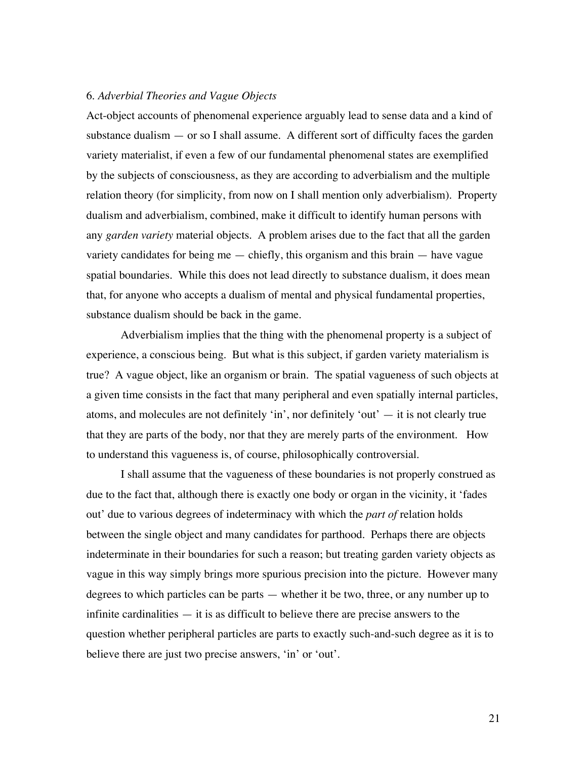## 6. *Adverbial Theories and Vague Objects*

Act-object accounts of phenomenal experience arguably lead to sense data and a kind of substance dualism  $-$  or so I shall assume. A different sort of difficulty faces the garden variety materialist, if even a few of our fundamental phenomenal states are exemplified by the subjects of consciousness, as they are according to adverbialism and the multiple relation theory (for simplicity, from now on I shall mention only adverbialism). Property dualism and adverbialism, combined, make it difficult to identify human persons with any *garden variety* material objects. A problem arises due to the fact that all the garden variety candidates for being me — chiefly, this organism and this brain — have vague spatial boundaries. While this does not lead directly to substance dualism, it does mean that, for anyone who accepts a dualism of mental and physical fundamental properties, substance dualism should be back in the game.

Adverbialism implies that the thing with the phenomenal property is a subject of experience, a conscious being. But what is this subject, if garden variety materialism is true? A vague object, like an organism or brain. The spatial vagueness of such objects at a given time consists in the fact that many peripheral and even spatially internal particles, atoms, and molecules are not definitely 'in', nor definitely 'out'  $-$  it is not clearly true that they are parts of the body, nor that they are merely parts of the environment. How to understand this vagueness is, of course, philosophically controversial.

I shall assume that the vagueness of these boundaries is not properly construed as due to the fact that, although there is exactly one body or organ in the vicinity, it 'fades out' due to various degrees of indeterminacy with which the *part of* relation holds between the single object and many candidates for parthood. Perhaps there are objects indeterminate in their boundaries for such a reason; but treating garden variety objects as vague in this way simply brings more spurious precision into the picture. However many degrees to which particles can be parts — whether it be two, three, or any number up to infinite cardinalities — it is as difficult to believe there are precise answers to the question whether peripheral particles are parts to exactly such-and-such degree as it is to believe there are just two precise answers, 'in' or 'out'.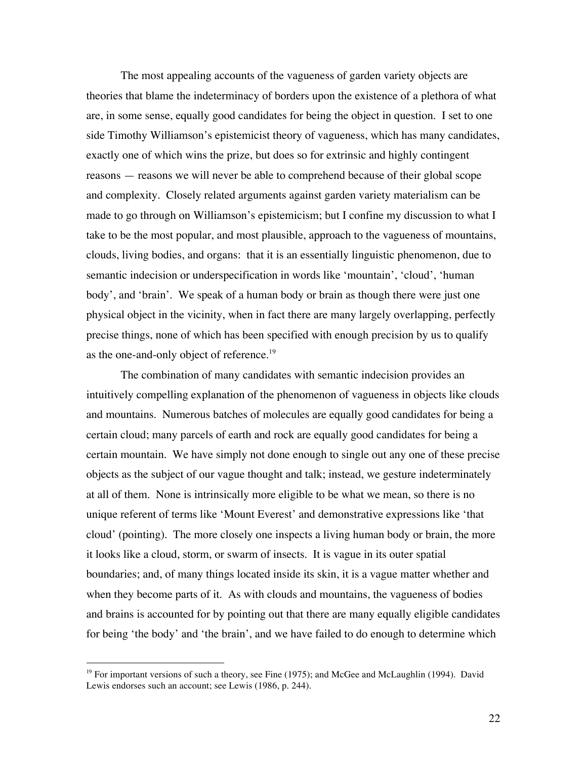The most appealing accounts of the vagueness of garden variety objects are theories that blame the indeterminacy of borders upon the existence of a plethora of what are, in some sense, equally good candidates for being the object in question. I set to one side Timothy Williamson's epistemicist theory of vagueness, which has many candidates, exactly one of which wins the prize, but does so for extrinsic and highly contingent reasons — reasons we will never be able to comprehend because of their global scope and complexity. Closely related arguments against garden variety materialism can be made to go through on Williamson's epistemicism; but I confine my discussion to what I take to be the most popular, and most plausible, approach to the vagueness of mountains, clouds, living bodies, and organs: that it is an essentially linguistic phenomenon, due to semantic indecision or underspecification in words like 'mountain', 'cloud', 'human body', and 'brain'. We speak of a human body or brain as though there were just one physical object in the vicinity, when in fact there are many largely overlapping, perfectly precise things, none of which has been specified with enough precision by us to qualify as the one-and-only object of reference.<sup>19</sup>

The combination of many candidates with semantic indecision provides an intuitively compelling explanation of the phenomenon of vagueness in objects like clouds and mountains. Numerous batches of molecules are equally good candidates for being a certain cloud; many parcels of earth and rock are equally good candidates for being a certain mountain. We have simply not done enough to single out any one of these precise objects as the subject of our vague thought and talk; instead, we gesture indeterminately at all of them. None is intrinsically more eligible to be what we mean, so there is no unique referent of terms like 'Mount Everest' and demonstrative expressions like 'that cloud' (pointing). The more closely one inspects a living human body or brain, the more it looks like a cloud, storm, or swarm of insects. It is vague in its outer spatial boundaries; and, of many things located inside its skin, it is a vague matter whether and when they become parts of it. As with clouds and mountains, the vagueness of bodies and brains is accounted for by pointing out that there are many equally eligible candidates for being 'the body' and 'the brain', and we have failed to do enough to determine which

<sup>&</sup>lt;sup>19</sup> For important versions of such a theory, see Fine (1975); and McGee and McLaughlin (1994). David Lewis endorses such an account; see Lewis (1986, p. 244).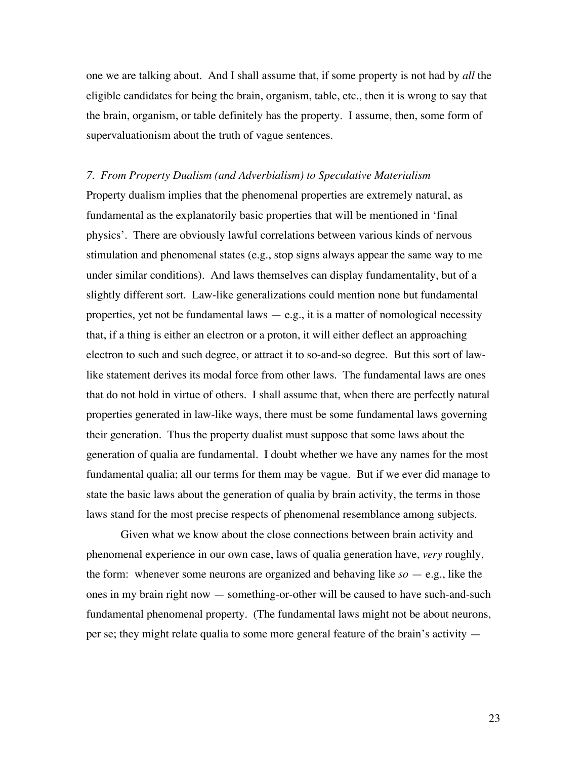one we are talking about. And I shall assume that, if some property is not had by *all* the eligible candidates for being the brain, organism, table, etc., then it is wrong to say that the brain, organism, or table definitely has the property. I assume, then, some form of supervaluationism about the truth of vague sentences.

### *7. From Property Dualism (and Adverbialism) to Speculative Materialism*

Property dualism implies that the phenomenal properties are extremely natural, as fundamental as the explanatorily basic properties that will be mentioned in 'final physics'. There are obviously lawful correlations between various kinds of nervous stimulation and phenomenal states (e.g., stop signs always appear the same way to me under similar conditions). And laws themselves can display fundamentality, but of a slightly different sort. Law-like generalizations could mention none but fundamental properties, yet not be fundamental laws  $-$  e.g., it is a matter of nomological necessity that, if a thing is either an electron or a proton, it will either deflect an approaching electron to such and such degree, or attract it to so-and-so degree. But this sort of lawlike statement derives its modal force from other laws. The fundamental laws are ones that do not hold in virtue of others. I shall assume that, when there are perfectly natural properties generated in law-like ways, there must be some fundamental laws governing their generation. Thus the property dualist must suppose that some laws about the generation of qualia are fundamental. I doubt whether we have any names for the most fundamental qualia; all our terms for them may be vague. But if we ever did manage to state the basic laws about the generation of qualia by brain activity, the terms in those laws stand for the most precise respects of phenomenal resemblance among subjects.

Given what we know about the close connections between brain activity and phenomenal experience in our own case, laws of qualia generation have, *very* roughly, the form: whenever some neurons are organized and behaving like *so* — e.g., like the ones in my brain right now — something-or-other will be caused to have such-and-such fundamental phenomenal property. (The fundamental laws might not be about neurons, per se; they might relate qualia to some more general feature of the brain's activity —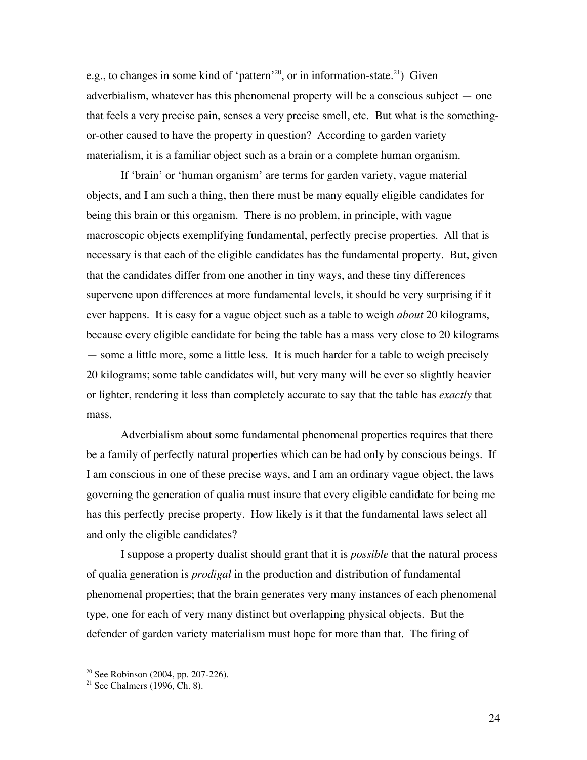e.g., to changes in some kind of 'pattern'<sup>20</sup>, or in information-state.<sup>21</sup>) Given adverbialism, whatever has this phenomenal property will be a conscious subject — one that feels a very precise pain, senses a very precise smell, etc. But what is the somethingor-other caused to have the property in question? According to garden variety materialism, it is a familiar object such as a brain or a complete human organism.

If 'brain' or 'human organism' are terms for garden variety, vague material objects, and I am such a thing, then there must be many equally eligible candidates for being this brain or this organism. There is no problem, in principle, with vague macroscopic objects exemplifying fundamental, perfectly precise properties. All that is necessary is that each of the eligible candidates has the fundamental property. But, given that the candidates differ from one another in tiny ways, and these tiny differences supervene upon differences at more fundamental levels, it should be very surprising if it ever happens. It is easy for a vague object such as a table to weigh *about* 20 kilograms, because every eligible candidate for being the table has a mass very close to 20 kilograms — some a little more, some a little less. It is much harder for a table to weigh precisely 20 kilograms; some table candidates will, but very many will be ever so slightly heavier or lighter, rendering it less than completely accurate to say that the table has *exactly* that mass.

Adverbialism about some fundamental phenomenal properties requires that there be a family of perfectly natural properties which can be had only by conscious beings. If I am conscious in one of these precise ways, and I am an ordinary vague object, the laws governing the generation of qualia must insure that every eligible candidate for being me has this perfectly precise property. How likely is it that the fundamental laws select all and only the eligible candidates?

I suppose a property dualist should grant that it is *possible* that the natural process of qualia generation is *prodigal* in the production and distribution of fundamental phenomenal properties; that the brain generates very many instances of each phenomenal type, one for each of very many distinct but overlapping physical objects. But the defender of garden variety materialism must hope for more than that. The firing of

<sup>&</sup>lt;sup>20</sup> See Robinson (2004, pp. 207-226).

 $21$  See Chalmers (1996, Ch. 8).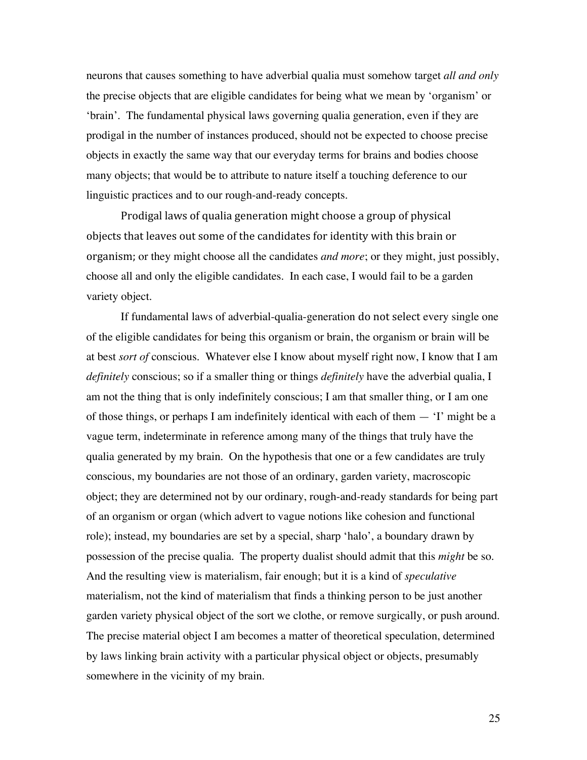neurons that causes something to have adverbial qualia must somehow target *all and only* the precise objects that are eligible candidates for being what we mean by 'organism' or 'brain'. The fundamental physical laws governing qualia generation, even if they are prodigal in the number of instances produced, should not be expected to choose precise objects in exactly the same way that our everyday terms for brains and bodies choose many objects; that would be to attribute to nature itself a touching deference to our linguistic practices and to our rough-and-ready concepts.

Prodigal laws of qualia generation might choose a group of physical objects
that
leaves
out
some
of
the
candidates
for
identity
with
this
brain
or organism; or they might choose all the candidates *and more*; or they might, just possibly, choose all and only the eligible candidates. In each case, I would fail to be a garden variety object.

If fundamental laws of adverbial-qualia-generation do
not
select every single one of the eligible candidates for being this organism or brain, the organism or brain will be at best *sort of* conscious. Whatever else I know about myself right now, I know that I am *definitely* conscious; so if a smaller thing or things *definitely* have the adverbial qualia, I am not the thing that is only indefinitely conscious; I am that smaller thing, or I am one of those things, or perhaps I am indefinitely identical with each of them — 'I' might be a vague term, indeterminate in reference among many of the things that truly have the qualia generated by my brain. On the hypothesis that one or a few candidates are truly conscious, my boundaries are not those of an ordinary, garden variety, macroscopic object; they are determined not by our ordinary, rough-and-ready standards for being part of an organism or organ (which advert to vague notions like cohesion and functional role); instead, my boundaries are set by a special, sharp 'halo', a boundary drawn by possession of the precise qualia. The property dualist should admit that this *might* be so. And the resulting view is materialism, fair enough; but it is a kind of *speculative* materialism, not the kind of materialism that finds a thinking person to be just another garden variety physical object of the sort we clothe, or remove surgically, or push around. The precise material object I am becomes a matter of theoretical speculation, determined by laws linking brain activity with a particular physical object or objects, presumably somewhere in the vicinity of my brain.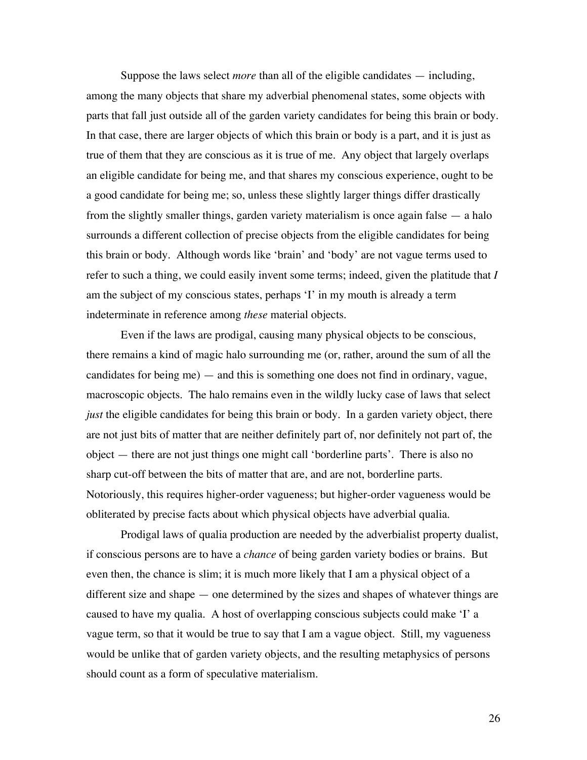Suppose the laws select *more* than all of the eligible candidates — including, among the many objects that share my adverbial phenomenal states, some objects with parts that fall just outside all of the garden variety candidates for being this brain or body. In that case, there are larger objects of which this brain or body is a part, and it is just as true of them that they are conscious as it is true of me. Any object that largely overlaps an eligible candidate for being me, and that shares my conscious experience, ought to be a good candidate for being me; so, unless these slightly larger things differ drastically from the slightly smaller things, garden variety materialism is once again false — a halo surrounds a different collection of precise objects from the eligible candidates for being this brain or body. Although words like 'brain' and 'body' are not vague terms used to refer to such a thing, we could easily invent some terms; indeed, given the platitude that *I* am the subject of my conscious states, perhaps 'I' in my mouth is already a term indeterminate in reference among *these* material objects.

Even if the laws are prodigal, causing many physical objects to be conscious, there remains a kind of magic halo surrounding me (or, rather, around the sum of all the candidates for being me) — and this is something one does not find in ordinary, vague, macroscopic objects. The halo remains even in the wildly lucky case of laws that select *just* the eligible candidates for being this brain or body. In a garden variety object, there are not just bits of matter that are neither definitely part of, nor definitely not part of, the object — there are not just things one might call 'borderline parts'. There is also no sharp cut-off between the bits of matter that are, and are not, borderline parts. Notoriously, this requires higher-order vagueness; but higher-order vagueness would be obliterated by precise facts about which physical objects have adverbial qualia.

Prodigal laws of qualia production are needed by the adverbialist property dualist, if conscious persons are to have a *chance* of being garden variety bodies or brains. But even then, the chance is slim; it is much more likely that I am a physical object of a different size and shape — one determined by the sizes and shapes of whatever things are caused to have my qualia. A host of overlapping conscious subjects could make 'I' a vague term, so that it would be true to say that I am a vague object. Still, my vagueness would be unlike that of garden variety objects, and the resulting metaphysics of persons should count as a form of speculative materialism.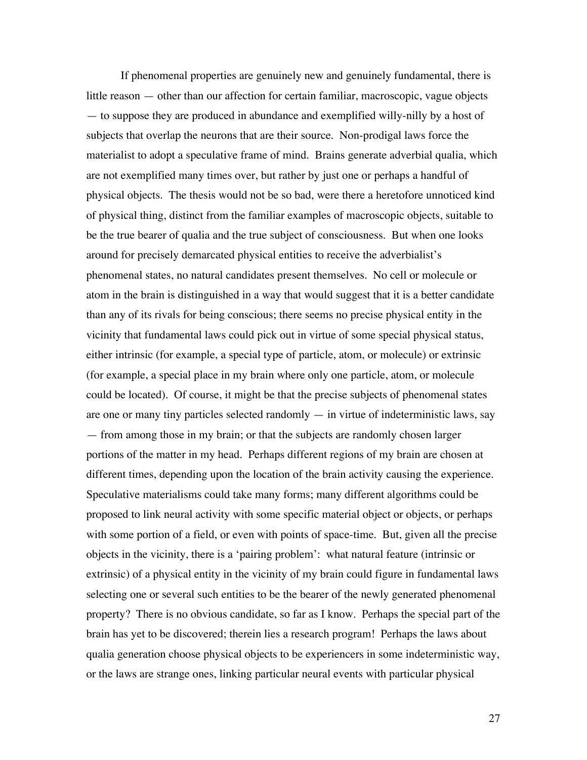If phenomenal properties are genuinely new and genuinely fundamental, there is little reason — other than our affection for certain familiar, macroscopic, vague objects — to suppose they are produced in abundance and exemplified willy-nilly by a host of subjects that overlap the neurons that are their source. Non-prodigal laws force the materialist to adopt a speculative frame of mind. Brains generate adverbial qualia, which are not exemplified many times over, but rather by just one or perhaps a handful of physical objects. The thesis would not be so bad, were there a heretofore unnoticed kind of physical thing, distinct from the familiar examples of macroscopic objects, suitable to be the true bearer of qualia and the true subject of consciousness. But when one looks around for precisely demarcated physical entities to receive the adverbialist's phenomenal states, no natural candidates present themselves. No cell or molecule or atom in the brain is distinguished in a way that would suggest that it is a better candidate than any of its rivals for being conscious; there seems no precise physical entity in the vicinity that fundamental laws could pick out in virtue of some special physical status, either intrinsic (for example, a special type of particle, atom, or molecule) or extrinsic (for example, a special place in my brain where only one particle, atom, or molecule could be located). Of course, it might be that the precise subjects of phenomenal states are one or many tiny particles selected randomly  $-$  in virtue of indeterministic laws, say — from among those in my brain; or that the subjects are randomly chosen larger portions of the matter in my head. Perhaps different regions of my brain are chosen at different times, depending upon the location of the brain activity causing the experience. Speculative materialisms could take many forms; many different algorithms could be proposed to link neural activity with some specific material object or objects, or perhaps with some portion of a field, or even with points of space-time. But, given all the precise objects in the vicinity, there is a 'pairing problem': what natural feature (intrinsic or extrinsic) of a physical entity in the vicinity of my brain could figure in fundamental laws selecting one or several such entities to be the bearer of the newly generated phenomenal property? There is no obvious candidate, so far as I know. Perhaps the special part of the brain has yet to be discovered; therein lies a research program! Perhaps the laws about qualia generation choose physical objects to be experiencers in some indeterministic way, or the laws are strange ones, linking particular neural events with particular physical

27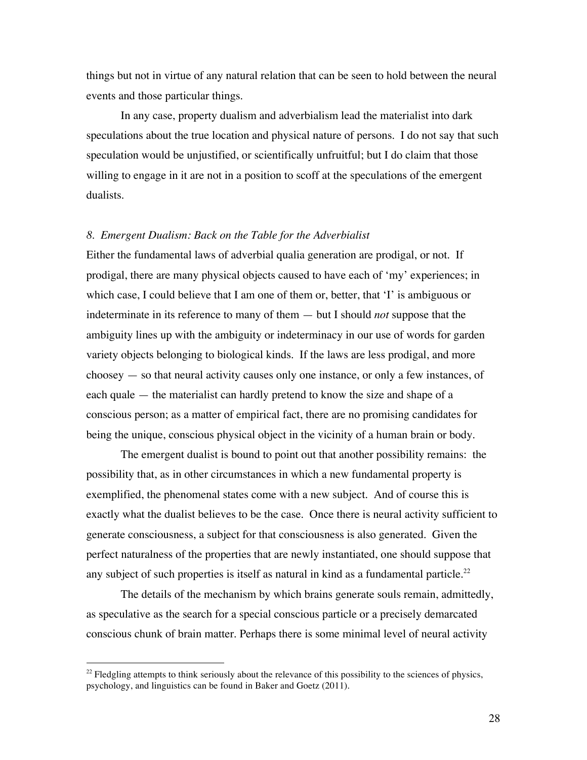things but not in virtue of any natural relation that can be seen to hold between the neural events and those particular things.

In any case, property dualism and adverbialism lead the materialist into dark speculations about the true location and physical nature of persons. I do not say that such speculation would be unjustified, or scientifically unfruitful; but I do claim that those willing to engage in it are not in a position to scoff at the speculations of the emergent dualists.

#### *8. Emergent Dualism: Back on the Table for the Adverbialist*

Either the fundamental laws of adverbial qualia generation are prodigal, or not. If prodigal, there are many physical objects caused to have each of 'my' experiences; in which case, I could believe that I am one of them or, better, that 'I' is ambiguous or indeterminate in its reference to many of them — but I should *not* suppose that the ambiguity lines up with the ambiguity or indeterminacy in our use of words for garden variety objects belonging to biological kinds. If the laws are less prodigal, and more choosey — so that neural activity causes only one instance, or only a few instances, of each quale — the materialist can hardly pretend to know the size and shape of a conscious person; as a matter of empirical fact, there are no promising candidates for being the unique, conscious physical object in the vicinity of a human brain or body.

The emergent dualist is bound to point out that another possibility remains: the possibility that, as in other circumstances in which a new fundamental property is exemplified, the phenomenal states come with a new subject. And of course this is exactly what the dualist believes to be the case. Once there is neural activity sufficient to generate consciousness, a subject for that consciousness is also generated. Given the perfect naturalness of the properties that are newly instantiated, one should suppose that any subject of such properties is itself as natural in kind as a fundamental particle.<sup>22</sup>

The details of the mechanism by which brains generate souls remain, admittedly, as speculative as the search for a special conscious particle or a precisely demarcated conscious chunk of brain matter. Perhaps there is some minimal level of neural activity

<sup>&</sup>lt;sup>22</sup> Fledgling attempts to think seriously about the relevance of this possibility to the sciences of physics, psychology, and linguistics can be found in Baker and Goetz (2011).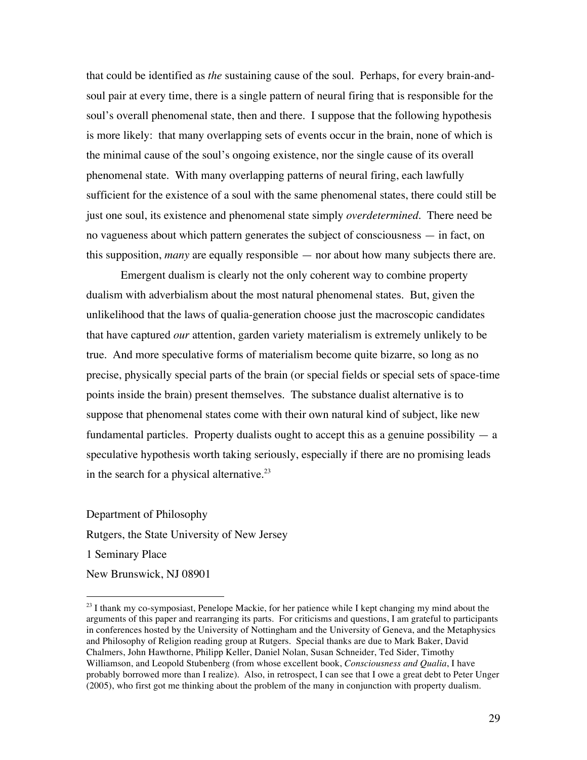that could be identified as *the* sustaining cause of the soul. Perhaps, for every brain-andsoul pair at every time, there is a single pattern of neural firing that is responsible for the soul's overall phenomenal state, then and there. I suppose that the following hypothesis is more likely: that many overlapping sets of events occur in the brain, none of which is the minimal cause of the soul's ongoing existence, nor the single cause of its overall phenomenal state. With many overlapping patterns of neural firing, each lawfully sufficient for the existence of a soul with the same phenomenal states, there could still be just one soul, its existence and phenomenal state simply *overdetermined*. There need be no vagueness about which pattern generates the subject of consciousness — in fact, on this supposition, *many* are equally responsible — nor about how many subjects there are.

Emergent dualism is clearly not the only coherent way to combine property dualism with adverbialism about the most natural phenomenal states. But, given the unlikelihood that the laws of qualia-generation choose just the macroscopic candidates that have captured *our* attention, garden variety materialism is extremely unlikely to be true. And more speculative forms of materialism become quite bizarre, so long as no precise, physically special parts of the brain (or special fields or special sets of space-time points inside the brain) present themselves. The substance dualist alternative is to suppose that phenomenal states come with their own natural kind of subject, like new fundamental particles. Property dualists ought to accept this as a genuine possibility  $-$  a speculative hypothesis worth taking seriously, especially if there are no promising leads in the search for a physical alternative.<sup>23</sup>

Department of Philosophy Rutgers, the State University of New Jersey 1 Seminary Place New Brunswick, NJ 08901

 $^{23}$  I thank my co-symposiast, Penelope Mackie, for her patience while I kept changing my mind about the arguments of this paper and rearranging its parts. For criticisms and questions, I am grateful to participants in conferences hosted by the University of Nottingham and the University of Geneva, and the Metaphysics and Philosophy of Religion reading group at Rutgers. Special thanks are due to Mark Baker, David Chalmers, John Hawthorne, Philipp Keller, Daniel Nolan, Susan Schneider, Ted Sider, Timothy Williamson, and Leopold Stubenberg (from whose excellent book, *Consciousness and Qualia*, I have probably borrowed more than I realize). Also, in retrospect, I can see that I owe a great debt to Peter Unger (2005), who first got me thinking about the problem of the many in conjunction with property dualism.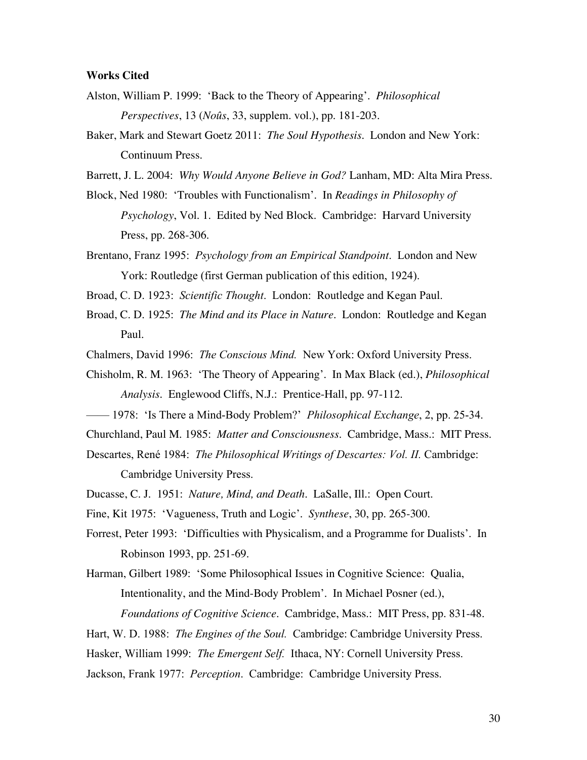## **Works Cited**

- Alston, William P. 1999: 'Back to the Theory of Appearing'. *Philosophical Perspectives*, 13 (*Noûs*, 33, supplem. vol.), pp. 181-203.
- Baker, Mark and Stewart Goetz 2011: *The Soul Hypothesis*. London and New York: Continuum Press.

Barrett, J. L. 2004: *Why Would Anyone Believe in God?* Lanham, MD: Alta Mira Press.

- Block, Ned 1980: 'Troubles with Functionalism'. In *Readings in Philosophy of Psychology*, Vol. 1. Edited by Ned Block. Cambridge: Harvard University Press, pp. 268-306.
- Brentano, Franz 1995: *Psychology from an Empirical Standpoint*. London and New York: Routledge (first German publication of this edition, 1924).
- Broad, C. D. 1923: *Scientific Thought*. London: Routledge and Kegan Paul.
- Broad, C. D. 1925: *The Mind and its Place in Nature.* London: Routledge and Kegan Paul.
- Chalmers, David 1996: *The Conscious Mind.* New York: Oxford University Press.
- Chisholm, R. M. 1963: 'The Theory of Appearing'. In Max Black (ed.), *Philosophical Analysis*. Englewood Cliffs, N.J.: Prentice-Hall, pp. 97-112.
- —— 1978: 'Is There a Mind-Body Problem?' *Philosophical Exchange*, 2, pp. 25-34.
- Churchland, Paul M. 1985: *Matter and Consciousness*. Cambridge, Mass.: MIT Press.
- Descartes, René 1984: *The Philosophical Writings of Descartes: Vol. II.* Cambridge: Cambridge University Press.
- Ducasse, C. J. 1951: *Nature, Mind, and Death*. LaSalle, Ill.: Open Court.

Fine, Kit 1975: 'Vagueness, Truth and Logic'. *Synthese*, 30, pp. 265-300.

- Forrest, Peter 1993: 'Difficulties with Physicalism, and a Programme for Dualists'. In Robinson 1993, pp. 251-69.
- Harman, Gilbert 1989: 'Some Philosophical Issues in Cognitive Science: Qualia, Intentionality, and the Mind-Body Problem'. In Michael Posner (ed.),

*Foundations of Cognitive Science*. Cambridge, Mass.: MIT Press, pp. 831-48.

Hart, W. D. 1988: *The Engines of the Soul.* Cambridge: Cambridge University Press.

Hasker, William 1999: *The Emergent Self.* Ithaca, NY: Cornell University Press.

Jackson, Frank 1977: *Perception*. Cambridge: Cambridge University Press.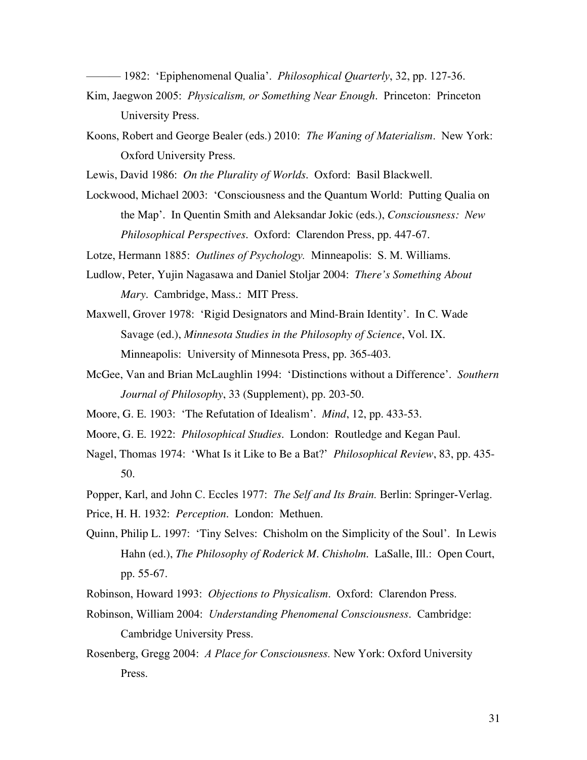——— 1982: 'Epiphenomenal Qualia'. *Philosophical Quarterly*, 32, pp. 127-36.

- Kim, Jaegwon 2005: *Physicalism, or Something Near Enough*. Princeton: Princeton University Press.
- Koons, Robert and George Bealer (eds.) 2010: *The Waning of Materialism*. New York: Oxford University Press.

Lewis, David 1986: *On the Plurality of Worlds*. Oxford: Basil Blackwell.

Lockwood, Michael 2003: 'Consciousness and the Quantum World: Putting Qualia on the Map'. In Quentin Smith and Aleksandar Jokic (eds.), *Consciousness: New Philosophical Perspectives*. Oxford: Clarendon Press, pp. 447-67.

Lotze, Hermann 1885: *Outlines of Psychology.* Minneapolis: S. M. Williams.

- Ludlow, Peter, Yujin Nagasawa and Daniel Stoljar 2004: *There's Something About Mary*. Cambridge, Mass.: MIT Press.
- Maxwell, Grover 1978: 'Rigid Designators and Mind-Brain Identity'. In C. Wade Savage (ed.), *Minnesota Studies in the Philosophy of Science*, Vol. IX. Minneapolis: University of Minnesota Press, pp. 365-403.
- McGee, Van and Brian McLaughlin 1994: 'Distinctions without a Difference'. *Southern Journal of Philosophy*, 33 (Supplement), pp. 203-50.
- Moore, G. E. 1903: 'The Refutation of Idealism'. *Mind*, 12, pp. 433-53.
- Moore, G. E. 1922: *Philosophical Studies*. London: Routledge and Kegan Paul.
- Nagel, Thomas 1974: 'What Is it Like to Be a Bat?' *Philosophical Review*, 83, pp. 435- 50.
- Popper, Karl, and John C. Eccles 1977: *The Self and Its Brain.* Berlin: Springer-Verlag.
- Price, H. H. 1932: *Perception*. London: Methuen.
- Quinn, Philip L. 1997: 'Tiny Selves: Chisholm on the Simplicity of the Soul'. In Lewis Hahn (ed.), *The Philosophy of Roderick M. Chisholm*. LaSalle, Ill.: Open Court, pp. 55-67.
- Robinson, Howard 1993: *Objections to Physicalism*. Oxford: Clarendon Press.
- Robinson, William 2004: *Understanding Phenomenal Consciousness*. Cambridge: Cambridge University Press.
- Rosenberg, Gregg 2004: *A Place for Consciousness.* New York: Oxford University Press.